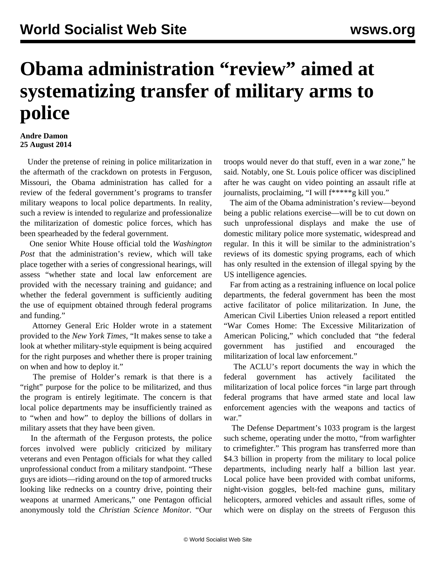## **Obama administration "review" aimed at systematizing transfer of military arms to police**

## **Andre Damon 25 August 2014**

 Under the pretense of reining in police militarization in the aftermath of the crackdown on protests in Ferguson, Missouri, the Obama administration has called for a review of the federal government's programs to transfer military weapons to local police departments. In reality, such a review is intended to regularize and professionalize the militarization of domestic police forces, which has been spearheaded by the federal government.

 One senior White House official told the *Washington Post* that the administration's review, which will take place together with a series of congressional hearings, will assess "whether state and local law enforcement are provided with the necessary training and guidance; and whether the federal government is sufficiently auditing the use of equipment obtained through federal programs and funding."

 Attorney General Eric Holder wrote in a statement provided to the *New York Times*, "It makes sense to take a look at whether military-style equipment is being acquired for the right purposes and whether there is proper training on when and how to deploy it."

 The premise of Holder's remark is that there is a "right" purpose for the police to be militarized, and thus the program is entirely legitimate. The concern is that local police departments may be insufficiently trained as to "when and how" to deploy the billions of dollars in military assets that they have been given.

 In the aftermath of the Ferguson protests, the police forces involved were publicly criticized by military veterans and even Pentagon officials for what they called unprofessional conduct from a military standpoint. "These guys are idiots—riding around on the top of armored trucks looking like rednecks on a country drive, pointing their weapons at unarmed Americans," one Pentagon official anonymously told the *Christian Science Monitor*. "Our troops would never do that stuff, even in a war zone," he said. Notably, one St. Louis police officer was disciplined after he was caught on video pointing an assault rifle at journalists, proclaiming, "I will f\*\*\*\*\*g kill you."

 The aim of the Obama administration's review—beyond being a public relations exercise—will be to cut down on such unprofessional displays and make the use of domestic military police more systematic, widespread and regular. In this it will be similar to the administration's reviews of its domestic spying programs, each of which has only resulted in the extension of illegal spying by the US intelligence agencies.

 Far from acting as a restraining influence on local police departments, the federal government has been the most active facilitator of police militarization. In June, the American Civil Liberties Union released a report entitled "War Comes Home: The Excessive Militarization of American Policing," which concluded that "the federal government has justified and encouraged the militarization of local law enforcement."

 The ACLU's report documents the way in which the federal government has actively facilitated the militarization of local police forces "in large part through federal programs that have armed state and local law enforcement agencies with the weapons and tactics of war."

 The Defense Department's 1033 program is the largest such scheme, operating under the motto, "from warfighter to crimefighter." This program has transferred more than \$4.3 billion in property from the military to local police departments, including nearly half a billion last year. Local police have been provided with combat uniforms, night-vision goggles, belt-fed machine guns, military helicopters, armored vehicles and assault rifles, some of which were on display on the streets of Ferguson this